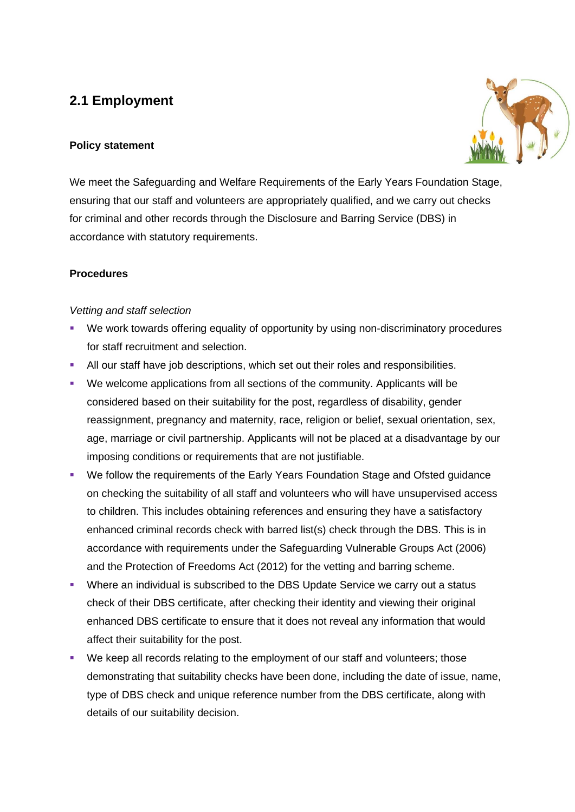# **2.1 Employment**

#### **Policy statement**



We meet the Safeguarding and Welfare Requirements of the Early Years Foundation Stage, ensuring that our staff and volunteers are appropriately qualified, and we carry out checks for criminal and other records through the Disclosure and Barring Service (DBS) in accordance with statutory requirements.

### **Procedures**

#### *Vetting and staff selection*

- We work towards offering equality of opportunity by using non-discriminatory procedures for staff recruitment and selection.
- **E** All our staff have job descriptions, which set out their roles and responsibilities.
- We welcome applications from all sections of the community. Applicants will be considered based on their suitability for the post, regardless of disability, gender reassignment, pregnancy and maternity, race, religion or belief, sexual orientation, sex, age, marriage or civil partnership. Applicants will not be placed at a disadvantage by our imposing conditions or requirements that are not justifiable.
- We follow the requirements of the Early Years Foundation Stage and Ofsted guidance on checking the suitability of all staff and volunteers who will have unsupervised access to children. This includes obtaining references and ensuring they have a satisfactory enhanced criminal records check with barred list(s) check through the DBS. This is in accordance with requirements under the Safeguarding Vulnerable Groups Act (2006) and the Protection of Freedoms Act (2012) for the vetting and barring scheme.
- **•** Where an individual is subscribed to the DBS Update Service we carry out a status check of their DBS certificate, after checking their identity and viewing their original enhanced DBS certificate to ensure that it does not reveal any information that would affect their suitability for the post.
- We keep all records relating to the employment of our staff and volunteers; those demonstrating that suitability checks have been done, including the date of issue, name, type of DBS check and unique reference number from the DBS certificate, along with details of our suitability decision.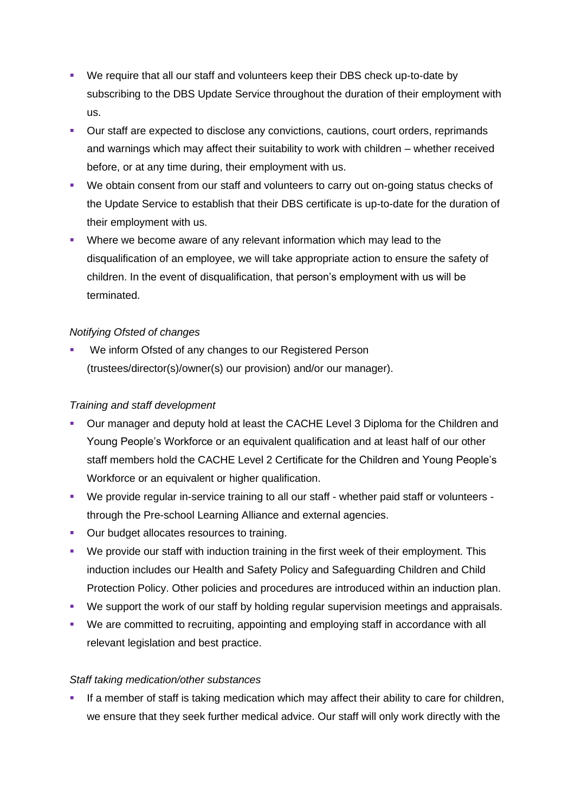- We require that all our staff and volunteers keep their DBS check up-to-date by subscribing to the DBS Update Service throughout the duration of their employment with us.
- Our staff are expected to disclose any convictions, cautions, court orders, reprimands and warnings which may affect their suitability to work with children – whether received before, or at any time during, their employment with us.
- We obtain consent from our staff and volunteers to carry out on-going status checks of the Update Service to establish that their DBS certificate is up-to-date for the duration of their employment with us.
- **•** Where we become aware of any relevant information which may lead to the disqualification of an employee, we will take appropriate action to ensure the safety of children. In the event of disqualification, that person's employment with us will be terminated.

### *Notifying Ofsted of changes*

We inform Ofsted of any changes to our Registered Person (trustees/director(s)/owner(s) our provision) and/or our manager).

#### *Training and staff development*

- Our manager and deputy hold at least the CACHE Level 3 Diploma for the Children and Young People's Workforce or an equivalent qualification and at least half of our other staff members hold the CACHE Level 2 Certificate for the Children and Young People's Workforce or an equivalent or higher qualification.
- We provide regular in-service training to all our staff whether paid staff or volunteers through the Pre-school Learning Alliance and external agencies.
- Our budget allocates resources to training.
- We provide our staff with induction training in the first week of their employment. This induction includes our Health and Safety Policy and Safeguarding Children and Child Protection Policy. Other policies and procedures are introduced within an induction plan.
- We support the work of our staff by holding regular supervision meetings and appraisals.
- We are committed to recruiting, appointing and employing staff in accordance with all relevant legislation and best practice.

### *Staff taking medication/other substances*

**■** If a member of staff is taking medication which may affect their ability to care for children, we ensure that they seek further medical advice. Our staff will only work directly with the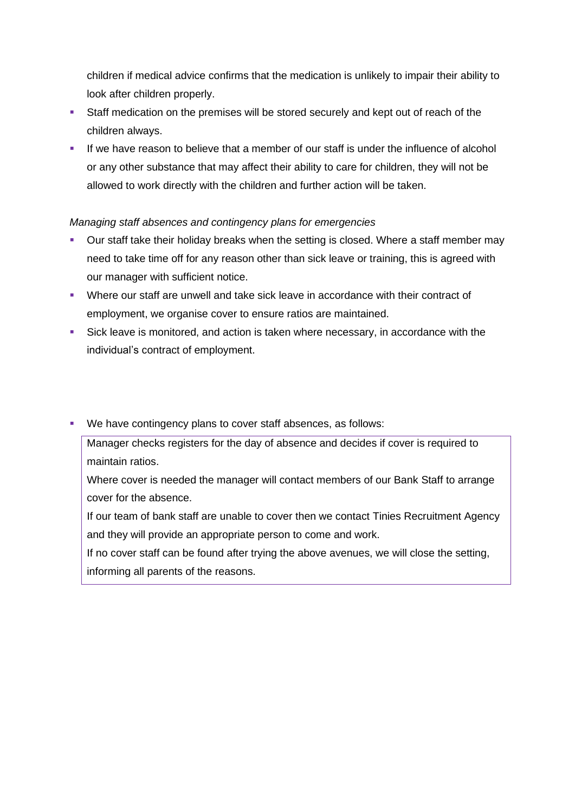children if medical advice confirms that the medication is unlikely to impair their ability to look after children properly.

- Staff medication on the premises will be stored securely and kept out of reach of the children always.
- **.** If we have reason to believe that a member of our staff is under the influence of alcohol or any other substance that may affect their ability to care for children, they will not be allowed to work directly with the children and further action will be taken.

### *Managing staff absences and contingency plans for emergencies*

- Our staff take their holiday breaks when the setting is closed. Where a staff member may need to take time off for any reason other than sick leave or training, this is agreed with our manager with sufficient notice.
- Where our staff are unwell and take sick leave in accordance with their contract of employment, we organise cover to ensure ratios are maintained.
- Sick leave is monitored, and action is taken where necessary, in accordance with the individual's contract of employment.
- We have contingency plans to cover staff absences, as follows:

Manager checks registers for the day of absence and decides if cover is required to maintain ratios.

Where cover is needed the manager will contact members of our Bank Staff to arrange cover for the absence.

If our team of bank staff are unable to cover then we contact Tinies Recruitment Agency and they will provide an appropriate person to come and work.

If no cover staff can be found after trying the above avenues, we will close the setting, informing all parents of the reasons.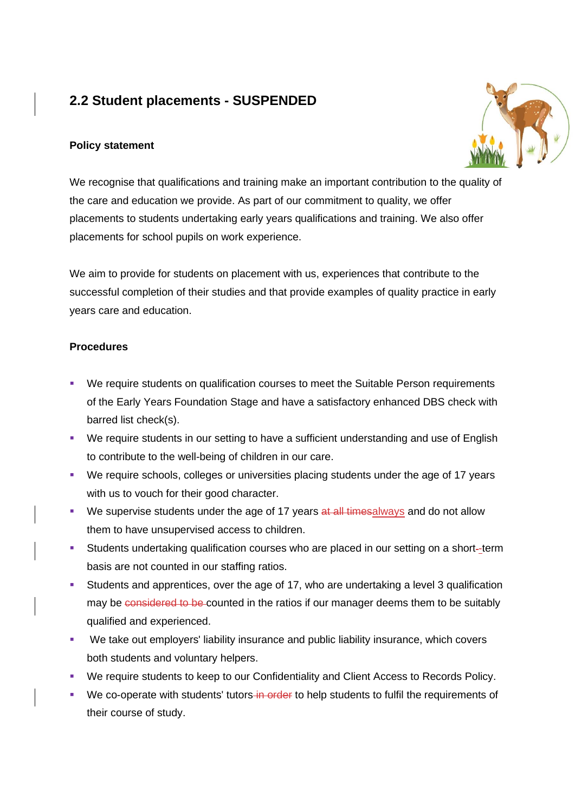# **2.2 Student placements - SUSPENDED**

#### **Policy statement**



We recognise that qualifications and training make an important contribution to the quality of the care and education we provide. As part of our commitment to quality, we offer placements to students undertaking early years qualifications and training. We also offer placements for school pupils on work experience.

We aim to provide for students on placement with us, experiences that contribute to the successful completion of their studies and that provide examples of quality practice in early years care and education.

#### **Procedures**

- We require students on qualification courses to meet the Suitable Person requirements of the Early Years Foundation Stage and have a satisfactory enhanced DBS check with barred list check(s).
- We require students in our setting to have a sufficient understanding and use of English to contribute to the well-being of children in our care.
- We require schools, colleges or universities placing students under the age of 17 years with us to vouch for their good character.
- **E** We supervise students under the age of 17 years  $at$  all times always and do not allow them to have unsupervised access to children.
- **Students undertaking qualification courses who are placed in our setting on a short-term** basis are not counted in our staffing ratios.
- Students and apprentices, over the age of 17, who are undertaking a level 3 qualification may be considered to be counted in the ratios if our manager deems them to be suitably qualified and experienced.
- We take out employers' liability insurance and public liability insurance, which covers both students and voluntary helpers.
- We require students to keep to our Confidentiality and Client Access to Records Policy.
- We co-operate with students' tutors in order to help students to fulfil the requirements of their course of study.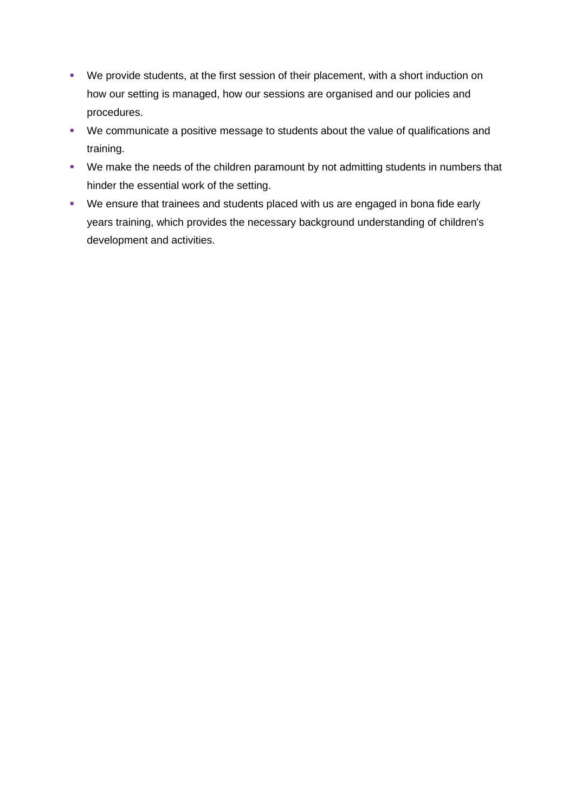- We provide students, at the first session of their placement, with a short induction on how our setting is managed, how our sessions are organised and our policies and procedures.
- We communicate a positive message to students about the value of qualifications and training.
- We make the needs of the children paramount by not admitting students in numbers that hinder the essential work of the setting.
- We ensure that trainees and students placed with us are engaged in bona fide early years training, which provides the necessary background understanding of children's development and activities.